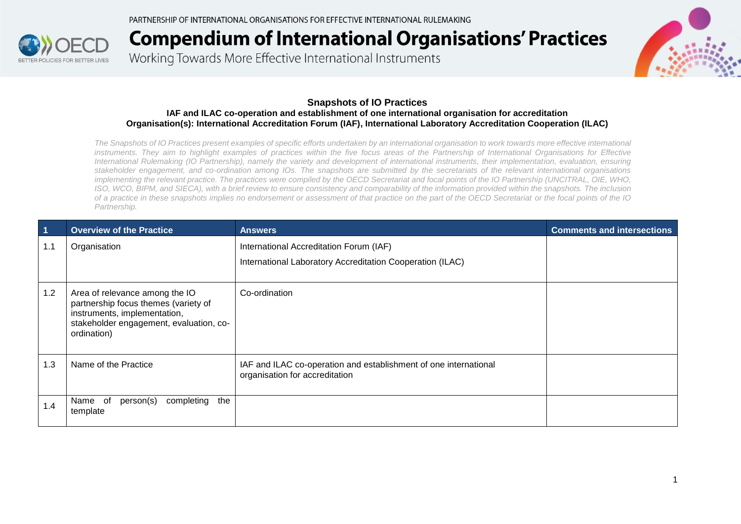

Working Towards More Effective International Instruments



#### **Snapshots of IO Practices**

#### **IAF and ILAC co-operation and establishment of one international organisation for accreditation Organisation(s): International Accreditation Forum (IAF), International Laboratory Accreditation Cooperation (ILAC)**

*The Snapshots of IO Practices present examples of specific efforts undertaken by an international organisation to work towards more effective international*  instruments. They aim to highlight examples of practices within the five focus areas of the Partnership of International Organisations for Effective *International Rulemaking (IO Partnership), namely the variety and development of international instruments, their implementation, evaluation, ensuring stakeholder engagement, and co-ordination among IOs. The snapshots are submitted by the secretariats of the relevant international organisations implementing the relevant practice. The practices were compiled by the OECD Secretariat and focal points of the IO Partnership (UNCITRAL, OIE, WHO, ISO, WCO, BIPM, and SIECA), with a brief review to ensure consistency and comparability of the information provided within the snapshots. The inclusion of a practice in these snapshots implies no endorsement or assessment of that practice on the part of the OECD Secretariat or the focal points of the IO Partnership.*

| $\overline{1}$ | <b>Overview of the Practice</b>                                                                                                                                  | <b>Answers</b>                                                                                       | <b>Comments and intersections</b> |
|----------------|------------------------------------------------------------------------------------------------------------------------------------------------------------------|------------------------------------------------------------------------------------------------------|-----------------------------------|
| 1.1            | Organisation                                                                                                                                                     | International Accreditation Forum (IAF)<br>International Laboratory Accreditation Cooperation (ILAC) |                                   |
| 1.2            | Area of relevance among the IO<br>partnership focus themes (variety of<br>instruments, implementation,<br>stakeholder engagement, evaluation, co-<br>ordination) | Co-ordination                                                                                        |                                   |
| 1.3            | Name of the Practice                                                                                                                                             | IAF and ILAC co-operation and establishment of one international<br>organisation for accreditation   |                                   |
| 1.4            | the<br>completing<br>person(s)<br>Name of<br>template                                                                                                            |                                                                                                      |                                   |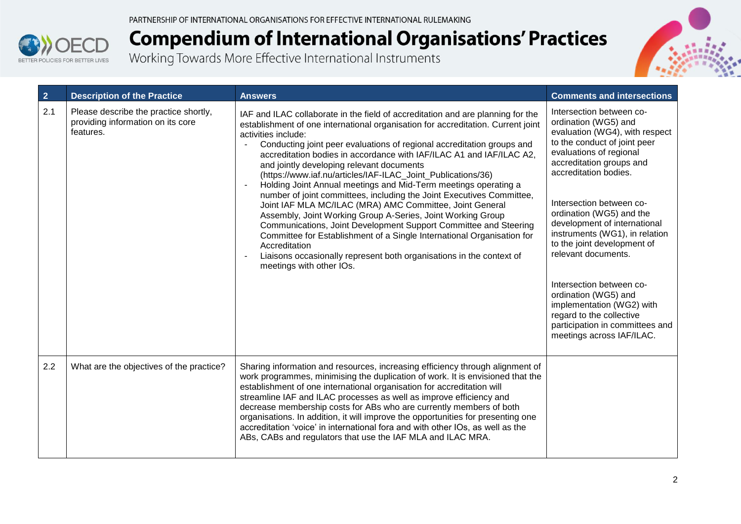



| $\overline{2}$ | <b>Description of the Practice</b>                                                      | <b>Answers</b>                                                                                                                                                                                                                                                                                                                                                                                                                                                                                                                                                                                                                                                                                                                                                                                                                                                                                                                                                                                      | <b>Comments and intersections</b>                                                                                                                                                                                                                                                                                                                                                                                                                                                                                                                               |
|----------------|-----------------------------------------------------------------------------------------|-----------------------------------------------------------------------------------------------------------------------------------------------------------------------------------------------------------------------------------------------------------------------------------------------------------------------------------------------------------------------------------------------------------------------------------------------------------------------------------------------------------------------------------------------------------------------------------------------------------------------------------------------------------------------------------------------------------------------------------------------------------------------------------------------------------------------------------------------------------------------------------------------------------------------------------------------------------------------------------------------------|-----------------------------------------------------------------------------------------------------------------------------------------------------------------------------------------------------------------------------------------------------------------------------------------------------------------------------------------------------------------------------------------------------------------------------------------------------------------------------------------------------------------------------------------------------------------|
| 2.1            | Please describe the practice shortly,<br>providing information on its core<br>features. | IAF and ILAC collaborate in the field of accreditation and are planning for the<br>establishment of one international organisation for accreditation. Current joint<br>activities include:<br>Conducting joint peer evaluations of regional accreditation groups and<br>accreditation bodies in accordance with IAF/ILAC A1 and IAF/ILAC A2,<br>and jointly developing relevant documents<br>(https://www.iaf.nu/articles/IAF-ILAC_Joint_Publications/36)<br>Holding Joint Annual meetings and Mid-Term meetings operating a<br>number of joint committees, including the Joint Executives Committee,<br>Joint IAF MLA MC/ILAC (MRA) AMC Committee, Joint General<br>Assembly, Joint Working Group A-Series, Joint Working Group<br>Communications, Joint Development Support Committee and Steering<br>Committee for Establishment of a Single International Organisation for<br>Accreditation<br>Liaisons occasionally represent both organisations in the context of<br>meetings with other IOs. | Intersection between co-<br>ordination (WG5) and<br>evaluation (WG4), with respect<br>to the conduct of joint peer<br>evaluations of regional<br>accreditation groups and<br>accreditation bodies.<br>Intersection between co-<br>ordination (WG5) and the<br>development of international<br>instruments (WG1), in relation<br>to the joint development of<br>relevant documents.<br>Intersection between co-<br>ordination (WG5) and<br>implementation (WG2) with<br>regard to the collective<br>participation in committees and<br>meetings across IAF/ILAC. |
| 2.2            | What are the objectives of the practice?                                                | Sharing information and resources, increasing efficiency through alignment of<br>work programmes, minimising the duplication of work. It is envisioned that the<br>establishment of one international organisation for accreditation will<br>streamline IAF and ILAC processes as well as improve efficiency and<br>decrease membership costs for ABs who are currently members of both<br>organisations. In addition, it will improve the opportunities for presenting one<br>accreditation 'voice' in international fora and with other IOs, as well as the<br>ABs, CABs and regulators that use the IAF MLA and ILAC MRA.                                                                                                                                                                                                                                                                                                                                                                        |                                                                                                                                                                                                                                                                                                                                                                                                                                                                                                                                                                 |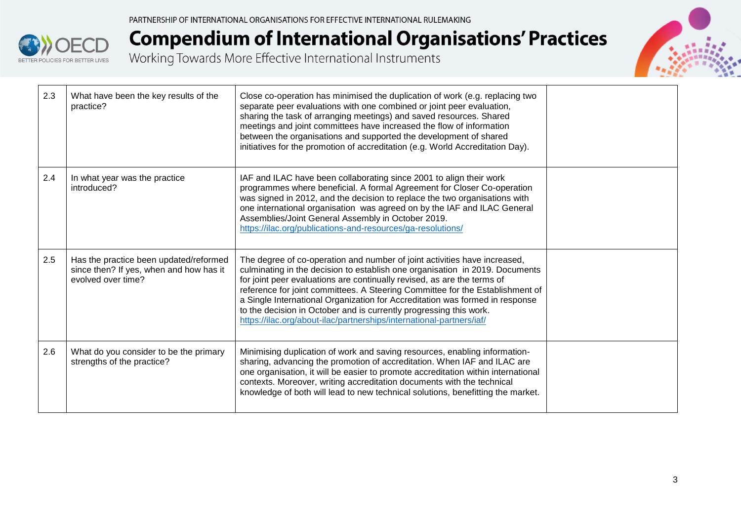



| 2.3 | What have been the key results of the<br>practice?                                                      | Close co-operation has minimised the duplication of work (e.g. replacing two<br>separate peer evaluations with one combined or joint peer evaluation,<br>sharing the task of arranging meetings) and saved resources. Shared<br>meetings and joint committees have increased the flow of information<br>between the organisations and supported the development of shared<br>initiatives for the promotion of accreditation (e.g. World Accreditation Day).                                                                                         |  |
|-----|---------------------------------------------------------------------------------------------------------|-----------------------------------------------------------------------------------------------------------------------------------------------------------------------------------------------------------------------------------------------------------------------------------------------------------------------------------------------------------------------------------------------------------------------------------------------------------------------------------------------------------------------------------------------------|--|
| 2.4 | In what year was the practice<br>introduced?                                                            | IAF and ILAC have been collaborating since 2001 to align their work<br>programmes where beneficial. A formal Agreement for Closer Co-operation<br>was signed in 2012, and the decision to replace the two organisations with<br>one international organisation was agreed on by the IAF and ILAC General<br>Assemblies/Joint General Assembly in October 2019.<br>https://ilac.org/publications-and-resources/ga-resolutions/                                                                                                                       |  |
| 2.5 | Has the practice been updated/reformed<br>since then? If yes, when and how has it<br>evolved over time? | The degree of co-operation and number of joint activities have increased,<br>culminating in the decision to establish one organisation in 2019. Documents<br>for joint peer evaluations are continually revised, as are the terms of<br>reference for joint committees. A Steering Committee for the Establishment of<br>a Single International Organization for Accreditation was formed in response<br>to the decision in October and is currently progressing this work.<br>https://ilac.org/about-ilac/partnerships/international-partners/iaf/ |  |
| 2.6 | What do you consider to be the primary<br>strengths of the practice?                                    | Minimising duplication of work and saving resources, enabling information-<br>sharing, advancing the promotion of accreditation. When IAF and ILAC are<br>one organisation, it will be easier to promote accreditation within international<br>contexts. Moreover, writing accreditation documents with the technical<br>knowledge of both will lead to new technical solutions, benefitting the market.                                                                                                                                            |  |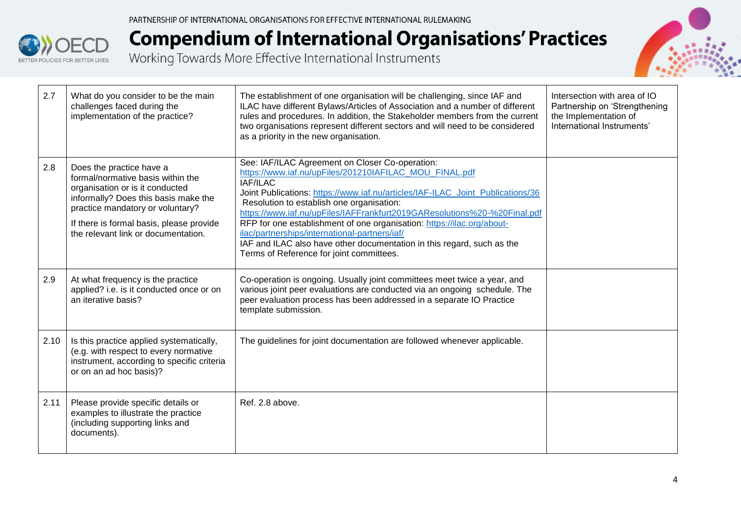



| 2.7  | What do you consider to be the main<br>challenges faced during the<br>implementation of the practice?                                                                                                                                                           | The establishment of one organisation will be challenging, since IAF and<br>ILAC have different Bylaws/Articles of Association and a number of different<br>rules and procedures. In addition, the Stakeholder members from the current<br>two organisations represent different sectors and will need to be considered<br>as a priority in the new organisation.                                                                                                                                                                                                                 | Intersection with area of IO<br>Partnership on 'Strengthening<br>the Implementation of<br>International Instruments' |
|------|-----------------------------------------------------------------------------------------------------------------------------------------------------------------------------------------------------------------------------------------------------------------|-----------------------------------------------------------------------------------------------------------------------------------------------------------------------------------------------------------------------------------------------------------------------------------------------------------------------------------------------------------------------------------------------------------------------------------------------------------------------------------------------------------------------------------------------------------------------------------|----------------------------------------------------------------------------------------------------------------------|
| 2.8  | Does the practice have a<br>formal/normative basis within the<br>organisation or is it conducted<br>informally? Does this basis make the<br>practice mandatory or voluntary?<br>If there is formal basis, please provide<br>the relevant link or documentation. | See: IAF/ILAC Agreement on Closer Co-operation:<br>https://www.iaf.nu/upFiles/201210IAFILAC_MOU_FINAL.pdf<br>IAF/ILAC<br>Joint Publications: https://www.iaf.nu/articles/IAF-ILAC Joint Publications/36<br>Resolution to establish one organisation:<br>https://www.iaf.nu/upFiles/IAFFrankfurt2019GAResolutions%20-%20Final.pdf<br>RFP for one establishment of one organisation: https://ilac.org/about-<br>ilac/partnerships/international-partners/iaf/<br>IAF and ILAC also have other documentation in this regard, such as the<br>Terms of Reference for joint committees. |                                                                                                                      |
| 2.9  | At what frequency is the practice<br>applied? i.e. is it conducted once or on<br>an iterative basis?                                                                                                                                                            | Co-operation is ongoing. Usually joint committees meet twice a year, and<br>various joint peer evaluations are conducted via an ongoing schedule. The<br>peer evaluation process has been addressed in a separate IO Practice<br>template submission.                                                                                                                                                                                                                                                                                                                             |                                                                                                                      |
| 2.10 | Is this practice applied systematically,<br>(e.g. with respect to every normative<br>instrument, according to specific criteria<br>or on an ad hoc basis)?                                                                                                      | The guidelines for joint documentation are followed whenever applicable.                                                                                                                                                                                                                                                                                                                                                                                                                                                                                                          |                                                                                                                      |
| 2.11 | Please provide specific details or<br>examples to illustrate the practice<br>(including supporting links and<br>documents).                                                                                                                                     | Ref. 2.8 above.                                                                                                                                                                                                                                                                                                                                                                                                                                                                                                                                                                   |                                                                                                                      |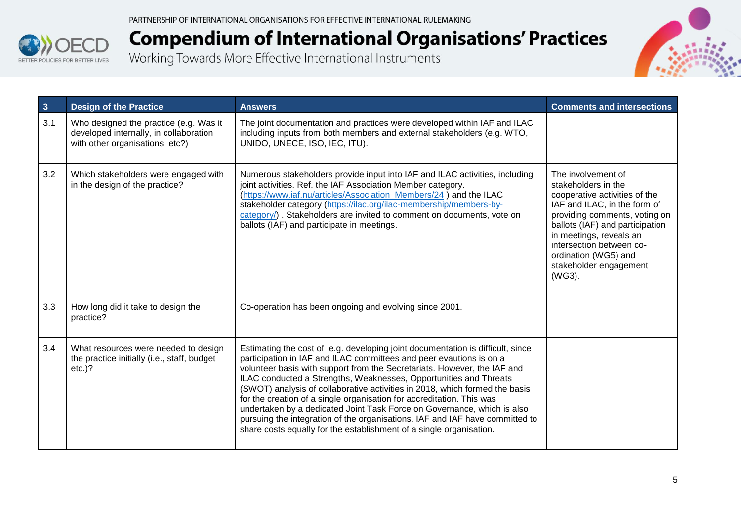



| $\overline{\mathbf{3}}$ | <b>Design of the Practice</b>                                                                                       | <b>Answers</b>                                                                                                                                                                                                                                                                                                                                                                                                                                                                                                                                                                                                                                                                                   | <b>Comments and intersections</b>                                                                                                                                                                                                                                                                 |
|-------------------------|---------------------------------------------------------------------------------------------------------------------|--------------------------------------------------------------------------------------------------------------------------------------------------------------------------------------------------------------------------------------------------------------------------------------------------------------------------------------------------------------------------------------------------------------------------------------------------------------------------------------------------------------------------------------------------------------------------------------------------------------------------------------------------------------------------------------------------|---------------------------------------------------------------------------------------------------------------------------------------------------------------------------------------------------------------------------------------------------------------------------------------------------|
| 3.1                     | Who designed the practice (e.g. Was it<br>developed internally, in collaboration<br>with other organisations, etc?) | The joint documentation and practices were developed within IAF and ILAC<br>including inputs from both members and external stakeholders (e.g. WTO,<br>UNIDO, UNECE, ISO, IEC, ITU).                                                                                                                                                                                                                                                                                                                                                                                                                                                                                                             |                                                                                                                                                                                                                                                                                                   |
| 3.2                     | Which stakeholders were engaged with<br>in the design of the practice?                                              | Numerous stakeholders provide input into IAF and ILAC activities, including<br>joint activities. Ref. the IAF Association Member category.<br>(https://www.iaf.nu/articles/Association_Members/24) and the ILAC<br>stakeholder category (https://ilac.org/ilac-membership/members-by-<br>category/). Stakeholders are invited to comment on documents, vote on<br>ballots (IAF) and participate in meetings.                                                                                                                                                                                                                                                                                     | The involvement of<br>stakeholders in the<br>cooperative activities of the<br>IAF and ILAC, in the form of<br>providing comments, voting on<br>ballots (IAF) and participation<br>in meetings, reveals an<br>intersection between co-<br>ordination (WG5) and<br>stakeholder engagement<br>(WG3). |
| 3.3                     | How long did it take to design the<br>practice?                                                                     | Co-operation has been ongoing and evolving since 2001.                                                                                                                                                                                                                                                                                                                                                                                                                                                                                                                                                                                                                                           |                                                                                                                                                                                                                                                                                                   |
| 3.4                     | What resources were needed to design<br>the practice initially (i.e., staff, budget<br>$etc.$ )?                    | Estimating the cost of e.g. developing joint documentation is difficult, since<br>participation in IAF and ILAC committees and peer evautions is on a<br>volunteer basis with support from the Secretariats. However, the IAF and<br>ILAC conducted a Strengths, Weaknesses, Opportunities and Threats<br>(SWOT) analysis of collaborative activities in 2018, which formed the basis<br>for the creation of a single organisation for accreditation. This was<br>undertaken by a dedicated Joint Task Force on Governance, which is also<br>pursuing the integration of the organisations. IAF and IAF have committed to<br>share costs equally for the establishment of a single organisation. |                                                                                                                                                                                                                                                                                                   |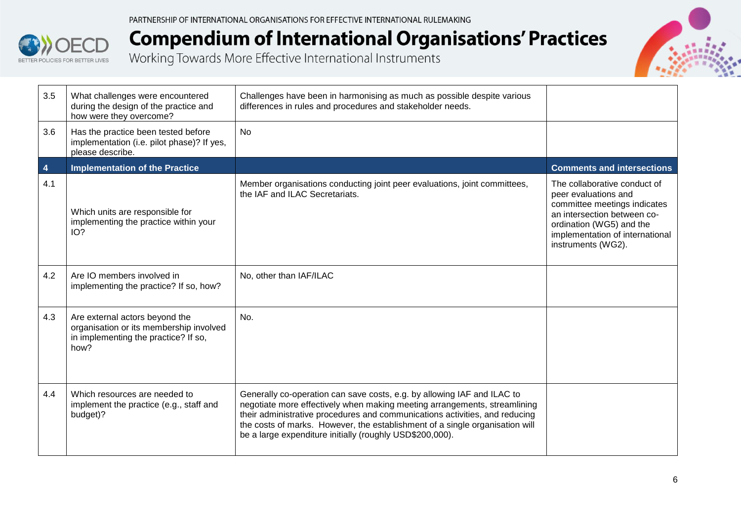



| 3.5            | What challenges were encountered<br>during the design of the practice and<br>how were they overcome?                      | Challenges have been in harmonising as much as possible despite various<br>differences in rules and procedures and stakeholder needs.                                                                                                                                                                                                                                           |                                                                                                                                                                                                          |
|----------------|---------------------------------------------------------------------------------------------------------------------------|---------------------------------------------------------------------------------------------------------------------------------------------------------------------------------------------------------------------------------------------------------------------------------------------------------------------------------------------------------------------------------|----------------------------------------------------------------------------------------------------------------------------------------------------------------------------------------------------------|
| 3.6            | Has the practice been tested before<br>implementation (i.e. pilot phase)? If yes,<br>please describe.                     | <b>No</b>                                                                                                                                                                                                                                                                                                                                                                       |                                                                                                                                                                                                          |
| $\overline{4}$ | <b>Implementation of the Practice</b>                                                                                     |                                                                                                                                                                                                                                                                                                                                                                                 | <b>Comments and intersections</b>                                                                                                                                                                        |
| 4.1            | Which units are responsible for<br>implementing the practice within your<br>IO?                                           | Member organisations conducting joint peer evaluations, joint committees,<br>the IAF and ILAC Secretariats.                                                                                                                                                                                                                                                                     | The collaborative conduct of<br>peer evaluations and<br>committee meetings indicates<br>an intersection between co-<br>ordination (WG5) and the<br>implementation of international<br>instruments (WG2). |
| 4.2            | Are IO members involved in<br>implementing the practice? If so, how?                                                      | No, other than IAF/ILAC                                                                                                                                                                                                                                                                                                                                                         |                                                                                                                                                                                                          |
| 4.3            | Are external actors beyond the<br>organisation or its membership involved<br>in implementing the practice? If so,<br>how? | No.                                                                                                                                                                                                                                                                                                                                                                             |                                                                                                                                                                                                          |
| 4.4            | Which resources are needed to<br>implement the practice (e.g., staff and<br>budget)?                                      | Generally co-operation can save costs, e.g. by allowing IAF and ILAC to<br>negotiate more effectively when making meeting arrangements, streamlining<br>their administrative procedures and communications activities, and reducing<br>the costs of marks. However, the establishment of a single organisation will<br>be a large expenditure initially (roughly USD\$200,000). |                                                                                                                                                                                                          |